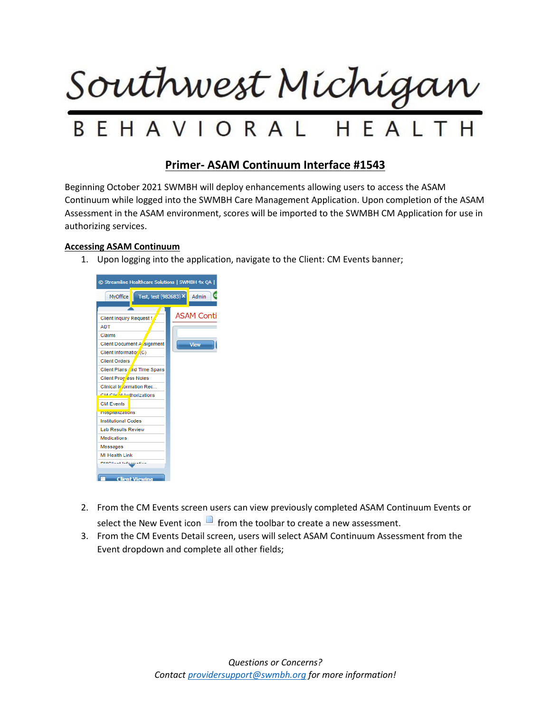

## **Primer- ASAM Continuum Interface #1543**

Beginning October 2021 SWMBH will deploy enhancements allowing users to access the ASAM Continuum while logged into the SWMBH Care Management Application. Upon completion of the ASAM Assessment in the ASAM environment, scores will be imported to the SWMBH CM Application for use in authorizing services.

## **Accessing ASAM Continuum**

1. Upon logging into the application, navigate to the Client: CM Events banner;



- 2. From the CM Events screen users can view previously completed ASAM Continuum Events or select the New Event icon  $\Box$  from the toolbar to create a new assessment.
- 3. From the CM Events Detail screen, users will select ASAM Continuum Assessment from the Event dropdown and complete all other fields;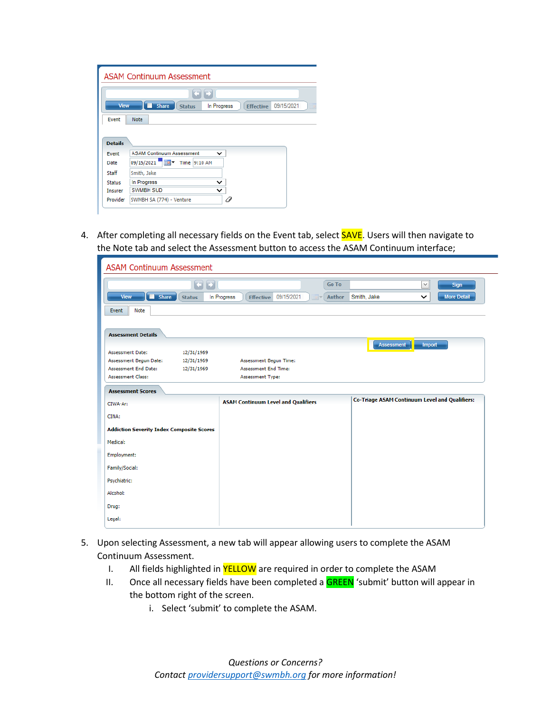| View                                                                 | <b>Share</b><br>09/15/2021<br>In Progress<br><b>Effective</b><br><b>Status</b> |
|----------------------------------------------------------------------|--------------------------------------------------------------------------------|
| Event                                                                | <b>Note</b>                                                                    |
|                                                                      |                                                                                |
|                                                                      | <b>ASAM Continuum Assessment</b><br>$\check{ }$<br>09/15/2021<br>Time 9:10 AM  |
|                                                                      | Smith, Jake                                                                    |
|                                                                      | In Progress<br>$\check{ }$                                                     |
| <b>Details</b><br>Event<br>Date<br>Staff<br><b>Status</b><br>Insurer | <b>SWMBH SUD</b>                                                               |

4. After completing all necessary fields on the Event tab, select **SAVE**. Users will then navigate to the Note tab and select the Assessment button to access the ASAM Continuum interface;

| <b>ASAM Continuum Assessment</b>                 |               |             |                                            |            |       |              |                                                       |              |                    |
|--------------------------------------------------|---------------|-------------|--------------------------------------------|------------|-------|--------------|-------------------------------------------------------|--------------|--------------------|
|                                                  | 日日            |             |                                            |            |       | <b>Go To</b> |                                                       | $\check{~}$  | <b>Sign</b>        |
| <b>Share</b><br>View                             | <b>Status</b> | In Progress | <b>Effective</b>                           | 09/15/2021 | na) – | Author       | Smith, Jake                                           | $\checkmark$ | <b>More Detail</b> |
| Event<br>Note                                    |               |             |                                            |            |       |              |                                                       |              |                    |
|                                                  |               |             |                                            |            |       |              |                                                       |              |                    |
| <b>Assessment Details</b>                        |               |             |                                            |            |       |              | Assessment                                            | Import       |                    |
| <b>Assessment Date:</b>                          | 12/31/1969    |             |                                            |            |       |              |                                                       |              |                    |
| Assessment Begun Date:                           | 12/31/1969    |             | Assessment Begun Time:                     |            |       |              |                                                       |              |                    |
| <b>Assessment End Date:</b>                      | 12/31/1969    |             | <b>Assessment End Time:</b>                |            |       |              |                                                       |              |                    |
| <b>Assessment Class:</b>                         |               |             | <b>Assessment Type:</b>                    |            |       |              |                                                       |              |                    |
| <b>Assessment Scores</b>                         |               |             |                                            |            |       |              |                                                       |              |                    |
| CIWA-Ar:                                         |               |             | <b>ASAM Continuum Level and Qualifiers</b> |            |       |              | <b>Co-Triage ASAM Continuum Level and Qualifiers:</b> |              |                    |
| CINA:                                            |               |             |                                            |            |       |              |                                                       |              |                    |
| <b>Addiction Severity Index Composite Scores</b> |               |             |                                            |            |       |              |                                                       |              |                    |
| Medical:                                         |               |             |                                            |            |       |              |                                                       |              |                    |
| Employment:                                      |               |             |                                            |            |       |              |                                                       |              |                    |
| Family/Social:                                   |               |             |                                            |            |       |              |                                                       |              |                    |
| Psychiatric:                                     |               |             |                                            |            |       |              |                                                       |              |                    |
| Alcohol:                                         |               |             |                                            |            |       |              |                                                       |              |                    |
|                                                  |               |             |                                            |            |       |              |                                                       |              |                    |
| Drug:                                            |               |             |                                            |            |       |              |                                                       |              |                    |

- 5. Upon selecting Assessment, a new tab will appear allowing users to complete the ASAM Continuum Assessment.
	- I. All fields highlighted in **YELLOW** are required in order to complete the ASAM
	- II. Once all necessary fields have been completed a **GREEN** 'submit' button will appear in the bottom right of the screen.
		- i. Select 'submit' to complete the ASAM.